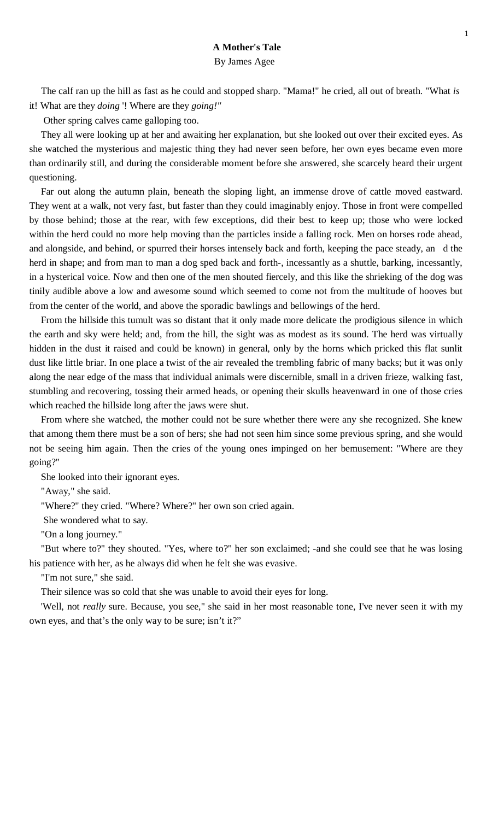## **A Mother's Tale**

## By James Agee

The calf ran up the hill as fast as he could and stopped sharp. "Mama!" he cried, all out of breath. "What *is*  it! What are they *doing* '! Where are they *going!"* 

Other spring calves came galloping too.

They all were looking up at her and awaiting her explanation, but she looked out over their excited eyes. As she watched the mysterious and majestic thing they had never seen before, her own eyes became even more than ordinarily still, and during the considerable moment before she answered, she scarcely heard their urgent questioning.

Far out along the autumn plain, beneath the sloping light, an immense drove of cattle moved eastward. They went at a walk, not very fast, but faster than they could imaginably enjoy. Those in front were compelled by those behind; those at the rear, with few exceptions, did their best to keep up; those who were locked within the herd could no more help moving than the particles inside a falling rock. Men on horses rode ahead, and alongside, and behind, or spurred their horses intensely back and forth, keeping the pace steady, an d the herd in shape; and from man to man a dog sped back and forth-, incessantly as a shuttle, barking, incessantly, in a hysterical voice. Now and then one of the men shouted fiercely, and this like the shrieking of the dog was tinily audible above a low and awesome sound which seemed to come not from the multitude of hooves but from the center of the world, and above the sporadic bawlings and bellowings of the herd.

From the hillside this tumult was so distant that it only made more delicate the prodigious silence in which the earth and sky were held; and, from the hill, the sight was as modest as its sound. The herd was virtually hidden in the dust it raised and could be known) in general, only by the horns which pricked this flat sunlit dust like little briar. In one place a twist of the air revealed the trembling fabric of many backs; but it was only along the near edge of the mass that individual animals were discernible, small in a driven frieze, walking fast, stumbling and recovering, tossing their armed heads, or opening their skulls heavenward in one of those cries which reached the hillside long after the jaws were shut.

From where she watched, the mother could not be sure whether there were any she recognized. She knew that among them there must be a son of hers; she had not seen him since some previous spring, and she would not be seeing him again. Then the cries of the young ones impinged on her bemusement: "Where are they going?"

She looked into their ignorant eyes.

"Away," she said.

"Where?" they cried. "Where? Where?" her own son cried again.

She wondered what to say.

"On a long journey."

"But where to?" they shouted. "Yes, where to?" her son exclaimed; -and she could see that he was losing his patience with her, as he always did when he felt she was evasive.

"I'm not sure," she said.

Their silence was so cold that she was unable to avoid their eyes for long.

'Well, not *really* sure. Because, you see," she said in her most reasonable tone, I've never seen it with my own eyes, and that's the only way to be sure; isn't it?"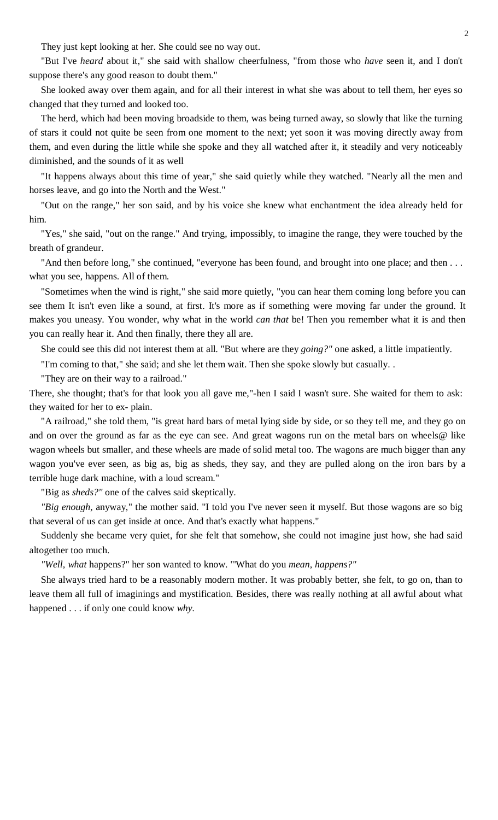They just kept looking at her. She could see no way out.

"But I've *heard* about it," she said with shallow cheerfulness, "from those who *have* seen it, and I don't suppose there's any good reason to doubt them."

She looked away over them again, and for all their interest in what she was about to tell them, her eyes so changed that they turned and looked too.

The herd, which had been moving broadside to them, was being turned away, so slowly that like the turning of stars it could not quite be seen from one moment to the next; yet soon it was moving directly away from them, and even during the little while she spoke and they all watched after it, it steadily and very noticeably diminished, and the sounds of it as well

"It happens always about this time of year," she said quietly while they watched. "Nearly all the men and horses leave, and go into the North and the West."

"Out on the range," her son said, and by his voice she knew what enchantment the idea already held for him.

"Yes," she said, "out on the range." And trying, impossibly, to imagine the range, they were touched by the breath of grandeur.

"And then before long," she continued, "everyone has been found, and brought into one place; and then . . . what you see, happens. All of them.

"Sometimes when the wind is right," she said more quietly, "you can hear them coming long before you can see them It isn't even like a sound, at first. It's more as if something were moving far under the ground. It makes you uneasy. You wonder, why what in the world *can that* be! Then you remember what it is and then you can really hear it. And then finally, there they all are.

She could see this did not interest them at all. "But where are they *going?"* one asked, a little impatiently.

"I'm coming to that," she said; and she let them wait. Then she spoke slowly but casually. .

"They are on their way to a railroad."

There, she thought; that's for that look you all gave me,"-hen I said I wasn't sure. She waited for them to ask: they waited for her to ex- plain.

"A railroad," she told them, "is great hard bars of metal lying side by side, or so they tell me, and they go on and on over the ground as far as the eye can see. And great wagons run on the metal bars on wheels@ like wagon wheels but smaller, and these wheels are made of solid metal too. The wagons are much bigger than any wagon you've ever seen, as big as, big as sheds, they say, and they are pulled along on the iron bars by a terrible huge dark machine, with a loud scream."

"Big as *sheds?"* one of the calves said skeptically.

*"Big enough,* anyway," the mother said. "I told you I've never seen it myself. But those wagons are so big that several of us can get inside at once. And that's exactly what happens."

Suddenly she became very quiet, for she felt that somehow, she could not imagine just how, she had said altogether too much.

*"Well, what* happens?" her son wanted to know. "'What do you *mean, happens?"* 

She always tried hard to be a reasonably modern mother. It was probably better, she felt, to go on, than to leave them all full of imaginings and mystification. Besides, there was really nothing at all awful about what happened . . . if only one could know *why.*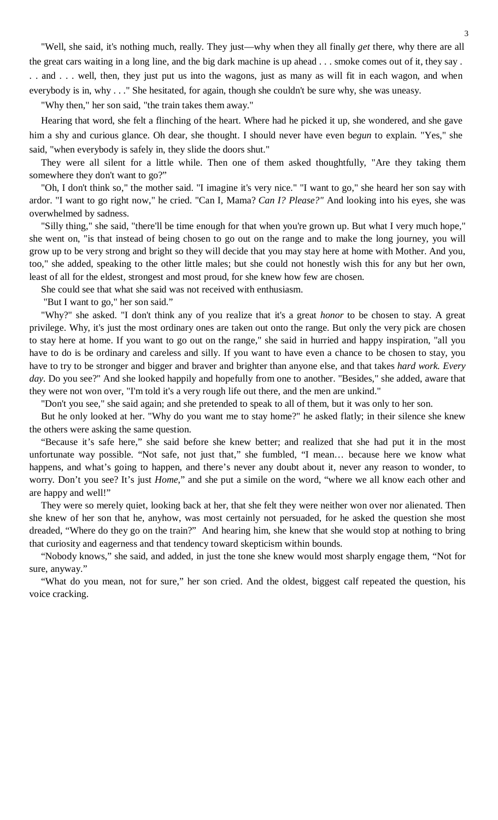"Well, she said, it's nothing much, really. They just—why when they all finally *get* there, why there are all the great cars waiting in a long line, and the big dark machine is up ahead . . . smoke comes out of it, they say . . . and . . . well, then, they just put us into the wagons, just as many as will fit in each wagon, and when everybody is in, why . . ." She hesitated, for again, though she couldn't be sure why, she was uneasy.

"Why then," her son said, "the train takes them away."

Hearing that word, she felt a flinching of the heart. Where had he picked it up, she wondered, and she gave him a shy and curious glance. Oh dear, she thought. I should never have even b*egun* to explain. "Yes," she said, "when everybody is safely in, they slide the doors shut."

They were all silent for a little while. Then one of them asked thoughtfully, "Are they taking them somewhere they don't want to go?"

"Oh, I don't think so," the mother said. "I imagine it's very nice." "I want to go," she heard her son say with ardor. "I want to go right now," he cried. "Can I, Mama? *Can I? Please?"* And looking into his eyes, she was overwhelmed by sadness.

"Silly thing," she said, "there'll be time enough for that when you're grown up. But what I very much hope," she went on, "is that instead of being chosen to go out on the range and to make the long journey, you will grow up to be very strong and bright so they will decide that you may stay here at home with Mother. And you, too," she added, speaking to the other little males; but she could not honestly wish this for any but her own, least of all for the eldest, strongest and most proud, for she knew how few are chosen.

She could see that what she said was not received with enthusiasm.

"But I want to go," her son said."

"Why?" she asked. "I don't think any of you realize that it's a great *honor* to be chosen to stay. A great privilege. Why, it's just the most ordinary ones are taken out onto the range. But only the very pick are chosen to stay here at home. If you want to go out on the range," she said in hurried and happy inspiration, "all you have to do is be ordinary and careless and silly. If you want to have even a chance to be chosen to stay, you have to try to be stronger and bigger and braver and brighter than anyone else, and that takes *hard work. Every*  day. Do you see?" And she looked happily and hopefully from one to another. "Besides," she added, aware that they were not won over, "I'm told it's a very rough life out there, and the men are unkind."

"Don't you see," she said again; and she pretended to speak to all of them, but it was only to her son.

But he only looked at her. "Why do you want me to stay home?" he asked flatly; in their silence she knew the others were asking the same question.

"Because it's safe here," she said before she knew better; and realized that she had put it in the most unfortunate way possible. "Not safe, not just that," she fumbled, "I mean… because here we know what happens, and what's going to happen, and there's never any doubt about it, never any reason to wonder, to worry. Don't you see? It's just *Home*," and she put a simile on the word, "where we all know each other and are happy and well!"

They were so merely quiet, looking back at her, that she felt they were neither won over nor alienated. Then she knew of her son that he, anyhow, was most certainly not persuaded, for he asked the question she most dreaded, "Where do they go on the train?" And hearing him, she knew that she would stop at nothing to bring that curiosity and eagerness and that tendency toward skepticism within bounds.

"Nobody knows," she said, and added, in just the tone she knew would most sharply engage them, "Not for sure, anyway."

"What do you mean, not for sure," her son cried. And the oldest, biggest calf repeated the question, his voice cracking.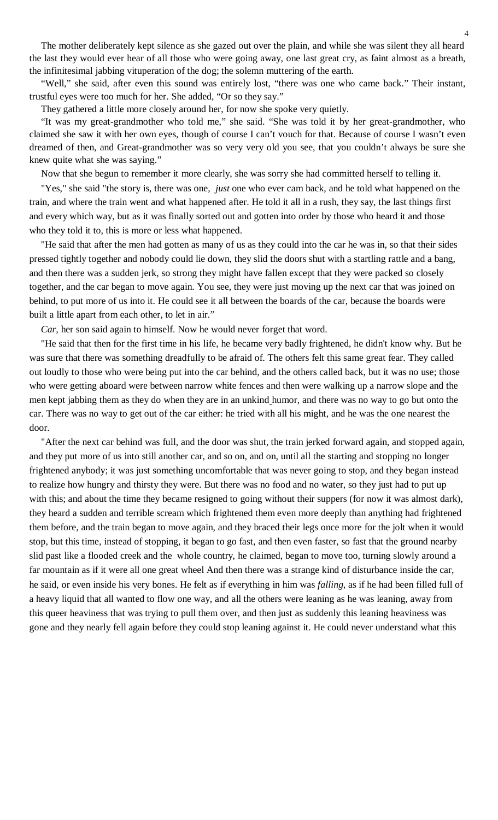The mother deliberately kept silence as she gazed out over the plain, and while she was silent they all heard the last they would ever hear of all those who were going away, one last great cry, as faint almost as a breath, the infinitesimal jabbing vituperation of the dog; the solemn muttering of the earth.

"Well," she said, after even this sound was entirely lost, "there was one who came back." Their instant, trustful eyes were too much for her. She added, "Or so they say."

They gathered a little more closely around her, for now she spoke very quietly.

"It was my great-grandmother who told me," she said. "She was told it by her great-grandmother, who claimed she saw it with her own eyes, though of course I can't vouch for that. Because of course I wasn't even dreamed of then, and Great-grandmother was so very very old you see, that you couldn't always be sure she knew quite what she was saying."

Now that she begun to remember it more clearly, she was sorry she had committed herself to telling it.

"Yes," she said "the story is, there was one, *just* one who ever cam back, and he told what happened on the train, and where the train went and what happened after. He told it all in a rush, they say, the last things first and every which way, but as it was finally sorted out and gotten into order by those who heard it and those who they told it to, this is more or less what happened.

"He said that after the men had gotten as many of us as they could into the car he was in, so that their sides pressed tightly together and nobody could lie down, they slid the doors shut with a startling rattle and a bang, and then there was a sudden jerk, so strong they might have fallen except that they were packed so closely together, and the car began to move again. You see, they were just moving up the next car that was joined on behind, to put more of us into it. He could see it all between the boards of the car, because the boards were built a little apart from each other, to let in air."

*Car,* her son said again to himself. Now he would never forget that word.

"He said that then for the first time in his life, he became very badly frightened, he didn't know why. But he was sure that there was something dreadfully to be afraid of. The others felt this same great fear. They called out loudly to those who were being put into the car behind, and the others called back, but it was no use; those who were getting aboard were between narrow white fences and then were walking up a narrow slope and the men kept jabbing them as they do when they are in an unkind humor, and there was no way to go but onto the car. There was no way to get out of the car either: he tried with all his might, and he was the one nearest the door.

"After the next car behind was full, and the door was shut, the train jerked forward again, and stopped again, and they put more of us into still another car, and so on, and on, until all the starting and stopping no longer frightened anybody; it was just something uncomfortable that was never going to stop, and they began instead to realize how hungry and thirsty they were. But there was no food and no water, so they just had to put up with this; and about the time they became resigned to going without their suppers (for now it was almost dark), they heard a sudden and terrible scream which frightened them even more deeply than anything had frightened them before, and the train began to move again, and they braced their legs once more for the jolt when it would stop, but this time, instead of stopping, it began to go fast, and then even faster, so fast that the ground nearby slid past like a flooded creek and the whole country, he claimed, began to move too, turning slowly around a far mountain as if it were all one great wheel And then there was a strange kind of disturbance inside the car, he said, or even inside his very bones. He felt as if everything in him was *falling,* as if he had been filled full of a heavy liquid that all wanted to flow one way, and all the others were leaning as he was leaning, away from this queer heaviness that was trying to pull them over, and then just as suddenly this leaning heaviness was gone and they nearly fell again before they could stop leaning against it. He could never understand what this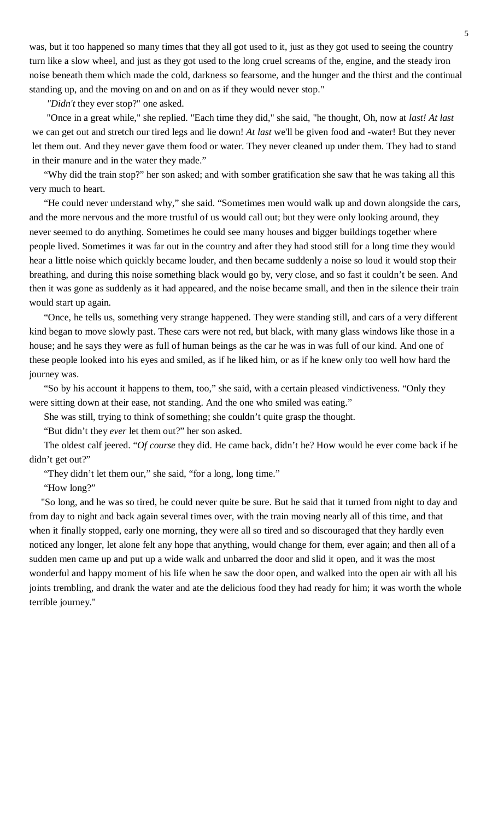was, but it too happened so many times that they all got used to it, just as they got used to seeing the country turn like a slow wheel, and just as they got used to the long cruel screams of the, engine, and the steady iron noise beneath them which made the cold, darkness so fearsome, and the hunger and the thirst and the continual standing up, and the moving on and on and on as if they would never stop."

 *"Didn't* they ever stop?" one asked.

 "Once in a great while," she replied. "Each time they did," she said, "he thought, Oh, now at *last! At last*  we can get out and stretch our tired legs and lie down! *At last* we'll be given food and -water! But they never let them out. And they never gave them food or water. They never cleaned up under them. They had to stand in their manure and in the water they made."

"Why did the train stop?" her son asked; and with somber gratification she saw that he was taking all this very much to heart.

"He could never understand why," she said. "Sometimes men would walk up and down alongside the cars, and the more nervous and the more trustful of us would call out; but they were only looking around, they never seemed to do anything. Sometimes he could see many houses and bigger buildings together where people lived. Sometimes it was far out in the country and after they had stood still for a long time they would hear a little noise which quickly became louder, and then became suddenly a noise so loud it would stop their breathing, and during this noise something black would go by, very close, and so fast it couldn't be seen. And then it was gone as suddenly as it had appeared, and the noise became small, and then in the silence their train would start up again.

"Once, he tells us, something very strange happened. They were standing still, and cars of a very different kind began to move slowly past. These cars were not red, but black, with many glass windows like those in a house; and he says they were as full of human beings as the car he was in was full of our kind. And one of these people looked into his eyes and smiled, as if he liked him, or as if he knew only too well how hard the journey was.

"So by his account it happens to them, too," she said, with a certain pleased vindictiveness. "Only they were sitting down at their ease, not standing. And the one who smiled was eating."

She was still, trying to think of something; she couldn't quite grasp the thought.

"But didn't they *ever* let them out?" her son asked.

The oldest calf jeered. "*Of course* they did. He came back, didn't he? How would he ever come back if he didn't get out?"

"They didn't let them our," she said, "for a long, long time."

"How long?"

"So long, and he was so tired, he could never quite be sure. But he said that it turned from night to day and from day to night and back again several times over, with the train moving nearly all of this time, and that when it finally stopped, early one morning, they were all so tired and so discouraged that they hardly even noticed any longer, let alone felt any hope that anything, would change for them, ever again; and then all of a sudden men came up and put up a wide walk and unbarred the door and slid it open, and it was the most wonderful and happy moment of his life when he saw the door open, and walked into the open air with all his joints trembling, and drank the water and ate the delicious food they had ready for him; it was worth the whole terrible journey."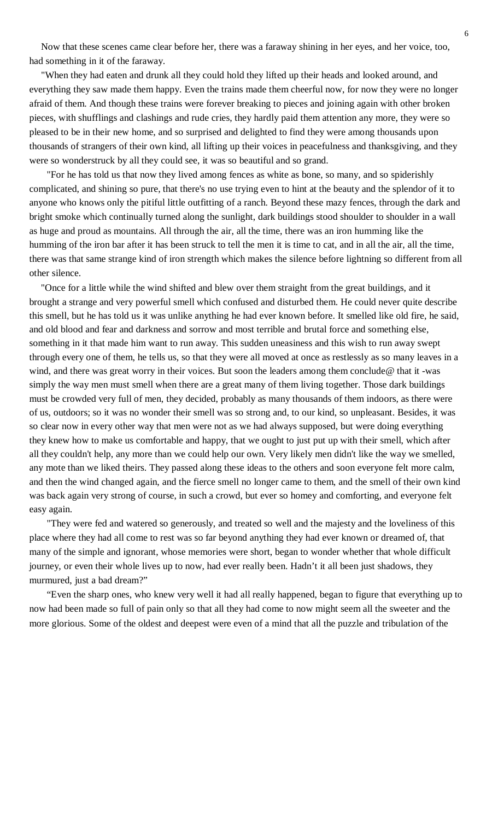Now that these scenes came clear before her, there was a faraway shining in her eyes, and her voice, too, had something in it of the faraway.

"When they had eaten and drunk all they could hold they lifted up their heads and looked around, and everything they saw made them happy. Even the trains made them cheerful now, for now they were no longer afraid of them. And though these trains were forever breaking to pieces and joining again with other broken pieces, with shufflings and clashings and rude cries, they hardly paid them attention any more, they were so pleased to be in their new home, and so surprised and delighted to find they were among thousands upon thousands of strangers of their own kind, all lifting up their voices in peacefulness and thanksgiving, and they were so wonderstruck by all they could see, it was so beautiful and so grand.

"For he has told us that now they lived among fences as white as bone, so many, and so spiderishly complicated, and shining so pure, that there's no use trying even to hint at the beauty and the splendor of it to anyone who knows only the pitiful little outfitting of a ranch. Beyond these mazy fences, through the dark and bright smoke which continually turned along the sunlight, dark buildings stood shoulder to shoulder in a wall as huge and proud as mountains. All through the air, all the time, there was an iron humming like the humming of the iron bar after it has been struck to tell the men it is time to cat, and in all the air, all the time, there was that same strange kind of iron strength which makes the silence before lightning so different from all other silence.

"Once for a little while the wind shifted and blew over them straight from the great buildings, and it brought a strange and very powerful smell which confused and disturbed them. He could never quite describe this smell, but he has told us it was unlike anything he had ever known before. It smelled like old fire, he said, and old blood and fear and darkness and sorrow and most terrible and brutal force and something else, something in it that made him want to run away. This sudden uneasiness and this wish to run away swept through every one of them, he tells us, so that they were all moved at once as restlessly as so many leaves in a wind, and there was great worry in their voices. But soon the leaders among them conclude @ that it -was simply the way men must smell when there are a great many of them living together. Those dark buildings must be crowded very full of men, they decided, probably as many thousands of them indoors, as there were of us, outdoors; so it was no wonder their smell was so strong and, to our kind, so unpleasant. Besides, it was so clear now in every other way that men were not as we had always supposed, but were doing everything they knew how to make us comfortable and happy, that we ought to just put up with their smell, which after all they couldn't help, any more than we could help our own. Very likely men didn't like the way we smelled, any mote than we liked theirs. They passed along these ideas to the others and soon everyone felt more calm, and then the wind changed again, and the fierce smell no longer came to them, and the smell of their own kind was back again very strong of course, in such a crowd, but ever so homey and comforting, and everyone felt easy again.

"They were fed and watered so generously, and treated so well and the majesty and the loveliness of this place where they had all come to rest was so far beyond anything they had ever known or dreamed of, that many of the simple and ignorant, whose memories were short, began to wonder whether that whole difficult journey, or even their whole lives up to now, had ever really been. Hadn't it all been just shadows, they murmured, just a bad dream?"

"Even the sharp ones, who knew very well it had all really happened, began to figure that everything up to now had been made so full of pain only so that all they had come to now might seem all the sweeter and the more glorious. Some of the oldest and deepest were even of a mind that all the puzzle and tribulation of the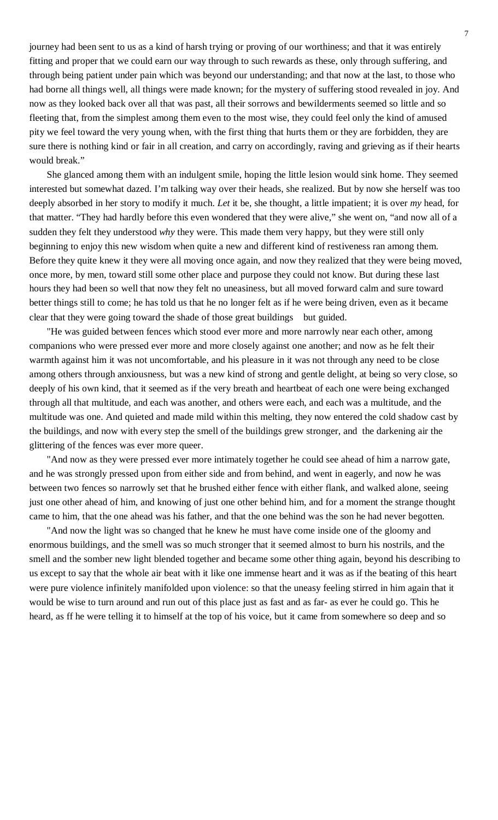journey had been sent to us as a kind of harsh trying or proving of our worthiness; and that it was entirely fitting and proper that we could earn our way through to such rewards as these, only through suffering, and through being patient under pain which was beyond our understanding; and that now at the last, to those who had borne all things well, all things were made known; for the mystery of suffering stood revealed in joy. And now as they looked back over all that was past, all their sorrows and bewilderments seemed so little and so fleeting that, from the simplest among them even to the most wise, they could feel only the kind of amused pity we feel toward the very young when, with the first thing that hurts them or they are forbidden, they are sure there is nothing kind or fair in all creation, and carry on accordingly, raving and grieving as if their hearts would break."

She glanced among them with an indulgent smile, hoping the little lesion would sink home. They seemed interested but somewhat dazed. I'm talking way over their heads, she realized. But by now she herself was too deeply absorbed in her story to modify it much. *Let* it be, she thought, a little impatient; it is over *my* head, for that matter. "They had hardly before this even wondered that they were alive," she went on, "and now all of a sudden they felt they understood *why* they were. This made them very happy, but they were still only beginning to enjoy this new wisdom when quite a new and different kind of restiveness ran among them. Before they quite knew it they were all moving once again, and now they realized that they were being moved, once more, by men, toward still some other place and purpose they could not know. But during these last hours they had been so well that now they felt no uneasiness, but all moved forward calm and sure toward better things still to come; he has told us that he no longer felt as if he were being driven, even as it became clear that they were going toward the shade of those great buildings but guided.

"He was guided between fences which stood ever more and more narrowly near each other, among companions who were pressed ever more and more closely against one another; and now as he felt their warmth against him it was not uncomfortable, and his pleasure in it was not through any need to be close among others through anxiousness, but was a new kind of strong and gentle delight, at being so very close, so deeply of his own kind, that it seemed as if the very breath and heartbeat of each one were being exchanged through all that multitude, and each was another, and others were each, and each was a multitude, and the multitude was one. And quieted and made mild within this melting, they now entered the cold shadow cast by the buildings, and now with every step the smell of the buildings grew stronger, and the darkening air the glittering of the fences was ever more queer.

"And now as they were pressed ever more intimately together he could see ahead of him a narrow gate, and he was strongly pressed upon from either side and from behind, and went in eagerly, and now he was between two fences so narrowly set that he brushed either fence with either flank, and walked alone, seeing just one other ahead of him, and knowing of just one other behind him, and for a moment the strange thought came to him, that the one ahead was his father, and that the one behind was the son he had never begotten.

"And now the light was so changed that he knew he must have come inside one of the gloomy and enormous buildings, and the smell was so much stronger that it seemed almost to burn his nostrils, and the smell and the somber new light blended together and became some other thing again, beyond his describing to us except to say that the whole air beat with it like one immense heart and it was as if the beating of this heart were pure violence infinitely manifolded upon violence: so that the uneasy feeling stirred in him again that it would be wise to turn around and run out of this place just as fast and as far- as ever he could go. This he heard, as ff he were telling it to himself at the top of his voice, but it came from somewhere so deep and so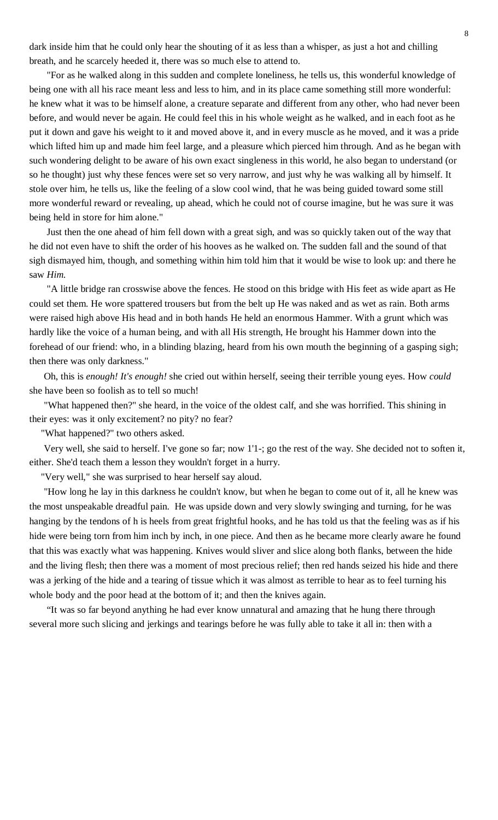dark inside him that he could only hear the shouting of it as less than a whisper, as just a hot and chilling breath, and he scarcely heeded it, there was so much else to attend to.

"For as he walked along in this sudden and complete loneliness, he tells us, this wonderful knowledge of being one with all his race meant less and less to him, and in its place came something still more wonderful: he knew what it was to be himself alone, a creature separate and different from any other, who had never been before, and would never be again. He could feel this in his whole weight as he walked, and in each foot as he put it down and gave his weight to it and moved above it, and in every muscle as he moved, and it was a pride which lifted him up and made him feel large, and a pleasure which pierced him through. And as he began with such wondering delight to be aware of his own exact singleness in this world, he also began to understand (or so he thought) just why these fences were set so very narrow, and just why he was walking all by himself. It stole over him, he tells us, like the feeling of a slow cool wind, that he was being guided toward some still more wonderful reward or revealing, up ahead, which he could not of course imagine, but he was sure it was being held in store for him alone."

Just then the one ahead of him fell down with a great sigh, and was so quickly taken out of the way that he did not even have to shift the order of his hooves as he walked on. The sudden fall and the sound of that sigh dismayed him, though, and something within him told him that it would be wise to look up: and there he saw *Him.*

"A little bridge ran crosswise above the fences. He stood on this bridge with His feet as wide apart as He could set them. He wore spattered trousers but from the belt up He was naked and as wet as rain. Both arms were raised high above His head and in both hands He held an enormous Hammer. With a grunt which was hardly like the voice of a human being, and with all His strength, He brought his Hammer down into the forehead of our friend: who, in a blinding blazing, heard from his own mouth the beginning of a gasping sigh; then there was only darkness."

Oh, this is *enough! It's enough!* she cried out within herself, seeing their terrible young eyes. How *could*  she have been so foolish as to tell so much!

"What happened then?" she heard, in the voice of the oldest calf, and she was horrified. This shining in their eyes: was it only excitement? no pity? no fear?

"What happened?" two others asked.

Very well, she said to herself. I've gone so far; now 1'1-; go the rest of the way. She decided not to soften it, either. She'd teach them a lesson they wouldn't forget in a hurry.

"Very well," she was surprised to hear herself say aloud.

"How long he lay in this darkness he couldn't know, but when he began to come out of it, all he knew was the most unspeakable dreadful pain. He was upside down and very slowly swinging and turning, for he was hanging by the tendons of h is heels from great frightful hooks, and he has told us that the feeling was as if his hide were being torn from him inch by inch, in one piece. And then as he became more clearly aware he found that this was exactly what was happening. Knives would sliver and slice along both flanks, between the hide and the living flesh; then there was a moment of most precious relief; then red hands seized his hide and there was a jerking of the hide and a tearing of tissue which it was almost as terrible to hear as to feel turning his whole body and the poor head at the bottom of it; and then the knives again.

 "It was so far beyond anything he had ever know unnatural and amazing that he hung there through several more such slicing and jerkings and tearings before he was fully able to take it all in: then with a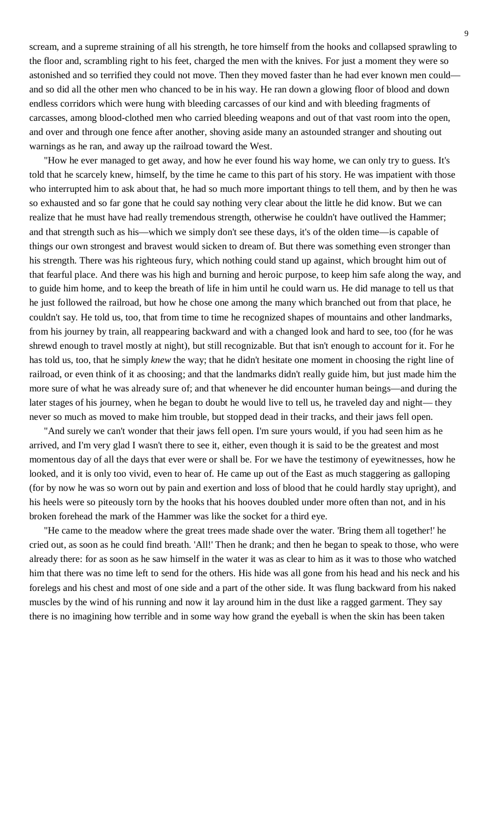scream, and a supreme straining of all his strength, he tore himself from the hooks and collapsed sprawling to the floor and, scrambling right to his feet, charged the men with the knives. For just a moment they were so astonished and so terrified they could not move. Then they moved faster than he had ever known men could and so did all the other men who chanced to be in his way. He ran down a glowing floor of blood and down endless corridors which were hung with bleeding carcasses of our kind and with bleeding fragments of carcasses, among blood-clothed men who carried bleeding weapons and out of that vast room into the open, and over and through one fence after another, shoving aside many an astounded stranger and shouting out warnings as he ran, and away up the railroad toward the West.

"How he ever managed to get away, and how he ever found his way home, we can only try to guess. It's told that he scarcely knew, himself, by the time he came to this part of his story. He was impatient with those who interrupted him to ask about that, he had so much more important things to tell them, and by then he was so exhausted and so far gone that he could say nothing very clear about the little he did know. But we can realize that he must have had really tremendous strength, otherwise he couldn't have outlived the Hammer; and that strength such as his—which we simply don't see these days, it's of the olden time—is capable of things our own strongest and bravest would sicken to dream of. But there was something even stronger than his strength. There was his righteous fury, which nothing could stand up against, which brought him out of that fearful place. And there was his high and burning and heroic purpose, to keep him safe along the way, and to guide him home, and to keep the breath of life in him until he could warn us. He did manage to tell us that he just followed the railroad, but how he chose one among the many which branched out from that place, he couldn't say. He told us, too, that from time to time he recognized shapes of mountains and other landmarks, from his journey by train, all reappearing backward and with a changed look and hard to see, too (for he was shrewd enough to travel mostly at night), but still recognizable. But that isn't enough to account for it. For he has told us, too, that he simply *knew* the way; that he didn't hesitate one moment in choosing the right line of railroad, or even think of it as choosing; and that the landmarks didn't really guide him, but just made him the more sure of what he was already sure of; and that whenever he did encounter human beings—and during the later stages of his journey, when he began to doubt he would live to tell us, he traveled day and night— they never so much as moved to make him trouble, but stopped dead in their tracks, and their jaws fell open.

"And surely we can't wonder that their jaws fell open. I'm sure yours would, if you had seen him as he arrived, and I'm very glad I wasn't there to see it, either, even though it is said to be the greatest and most momentous day of all the days that ever were or shall be. For we have the testimony of eyewitnesses, how he looked, and it is only too vivid, even to hear of. He came up out of the East as much staggering as galloping (for by now he was so worn out by pain and exertion and loss of blood that he could hardly stay upright), and his heels were so piteously torn by the hooks that his hooves doubled under more often than not, and in his broken forehead the mark of the Hammer was like the socket for a third eye.

"He came to the meadow where the great trees made shade over the water. 'Bring them all together!' he cried out, as soon as he could find breath. 'All!' Then he drank; and then he began to speak to those, who were already there: for as soon as he saw himself in the water it was as clear to him as it was to those who watched him that there was no time left to send for the others. His hide was all gone from his head and his neck and his forelegs and his chest and most of one side and a part of the other side. It was flung backward from his naked muscles by the wind of his running and now it lay around him in the dust like a ragged garment. They say there is no imagining how terrible and in some way how grand the eyeball is when the skin has been taken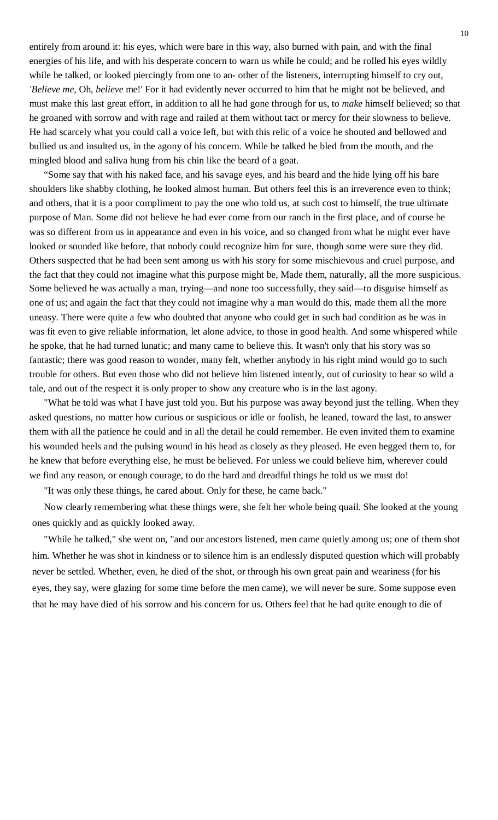entirely from around it: his eyes, which were bare in this way, also burned with pain, and with the final energies of his life, and with his desperate concern to warn us while he could; and he rolled his eyes wildly while he talked, or looked piercingly from one to an- other of the listeners, interrupting himself to cry out, *'Believe me,* Oh, *believe* me!' For it had evidently never occurred to him that he might not be believed, and must make this last great effort, in addition to all he had gone through for us, to *make* himself believed; so that he groaned with sorrow and with rage and railed at them without tact or mercy for their slowness to believe. He had scarcely what you could call a voice left, but with this relic of a voice he shouted and bellowed and bullied us and insulted us, in the agony of his concern. While he talked he bled from the mouth, and the mingled blood and saliva hung from his chin like the beard of a goat.

"Some say that with his naked face, and his savage eyes, and his beard and the hide lying off his bare shoulders like shabby clothing, he looked almost human. But others feel this is an irreverence even to think; and others, that it is a poor compliment to pay the one who told us, at such cost to himself, the true ultimate purpose of Man. Some did not believe he had ever come from our ranch in the first place, and of course he was so different from us in appearance and even in his voice, and so changed from what he might ever have looked or sounded like before, that nobody could recognize him for sure, though some were sure they did. Others suspected that he had been sent among us with his story for some mischievous and cruel purpose, and the fact that they could not imagine what this purpose might be, Made them, naturally, all the more suspicious. Some believed he was actually a man, trying—and none too successfully, they said—to disguise himself as one of us; and again the fact that they could not imagine why a man would do this, made them all the more uneasy. There were quite a few who doubted that anyone who could get in such bad condition as he was in was fit even to give reliable information, let alone advice, to those in good health. And some whispered while he spoke, that he had turned lunatic; and many came to believe this. It wasn't only that his story was so fantastic; there was good reason to wonder, many felt, whether anybody in his right mind would go to such trouble for others. But even those who did not believe him listened intently, out of curiosity to hear so wild a tale, and out of the respect it is only proper to show any creature who is in the last agony.

"What he told was what I have just told you. But his purpose was away beyond just the telling. When they asked questions, no matter how curious or suspicious or idle or foolish, he leaned, toward the last, to answer them with all the patience he could and in all the detail he could remember. He even invited them to examine his wounded heels and the pulsing wound in his head as closely as they pleased. He even begged them to, for he knew that before everything else, he must be believed. For unless we could believe him, wherever could we find any reason, or enough courage, to do the hard and dreadful things he told us we must do!

"It was only these things, he cared about. Only for these, he came back."

Now clearly remembering what these things were, she felt her whole being quail. She looked at the young ones quickly and as quickly looked away.

"While he talked," she went on, "and our ancestors listened, men came quietly among us; one of them shot him. Whether he was shot in kindness or to silence him is an endlessly disputed question which will probably never be settled. Whether, even, he died of the shot, or through his own great pain and weariness (for his eyes, they say, were glazing for some time before the men came), we will never be sure. Some suppose even that he may have died of his sorrow and his concern for us. Others feel that he had quite enough to die of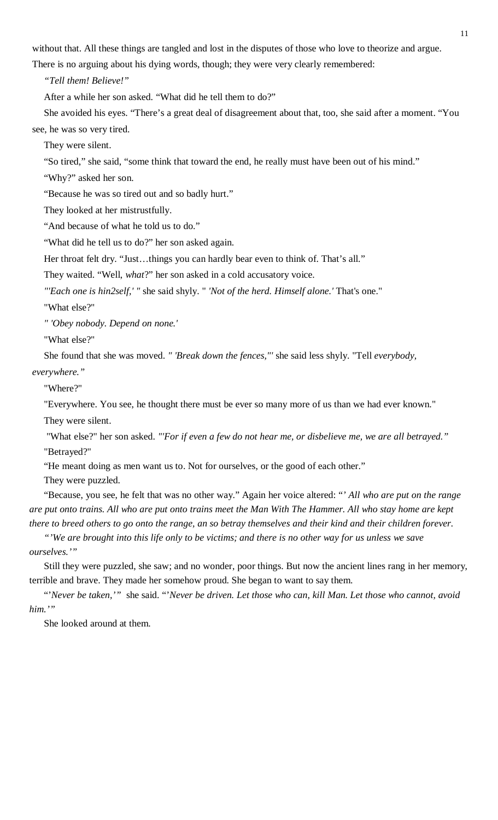without that. All these things are tangled and lost in the disputes of those who love to theorize and argue.

There is no arguing about his dying words, though; they were very clearly remembered:

*"Tell them! Believe!"* 

After a while her son asked. "What did he tell them to do?"

She avoided his eyes. "There's a great deal of disagreement about that, too, she said after a moment. "You see, he was so very tired.

They were silent.

"So tired," she said, "some think that toward the end, he really must have been out of his mind."

"Why?" asked her son.

"Because he was so tired out and so badly hurt."

They looked at her mistrustfully.

"And because of what he told us to do."

"What did he tell us to do?" her son asked again.

Her throat felt dry. "Just…things you can hardly bear even to think of. That's all."

They waited. "Well, *what*?" her son asked in a cold accusatory voice.

*"'Each one is hin2self,' "* she said shyly. " *'Not of the herd. Himself alone.'* That's one."

"What else?"

*" 'Obey nobody. Depend on none.'* 

"What else?"

She found that she was moved. *" 'Break down the fences,"'* she said less shyly. "Tell *everybody, everywhere."* 

"Where?"

"Everywhere. You see, he thought there must be ever so many more of us than we had ever known."

They were silent.

 "What else?" her son asked. *"'For if even a few do not hear me, or disbelieve me, we are all betrayed."* "Betrayed?"

"He meant doing as men want us to. Not for ourselves, or the good of each other."

They were puzzled.

"Because, you see, he felt that was no other way." Again her voice altered: "*' All who are put on the range are put onto trains. All who are put onto trains meet the Man With The Hammer. All who stay home are kept there to breed others to go onto the range, an so betray themselves and their kind and their children forever.* 

*"'We are brought into this life only to be victims; and there is no other way for us unless we save ourselves.'"* 

Still they were puzzled, she saw; and no wonder, poor things. But now the ancient lines rang in her memory, terrible and brave. They made her somehow proud. She began to want to say them.

"'*Never be taken,'"* she said. "'*Never be driven. Let those who can, kill Man. Let those who cannot, avoid him.'"*

She looked around at them.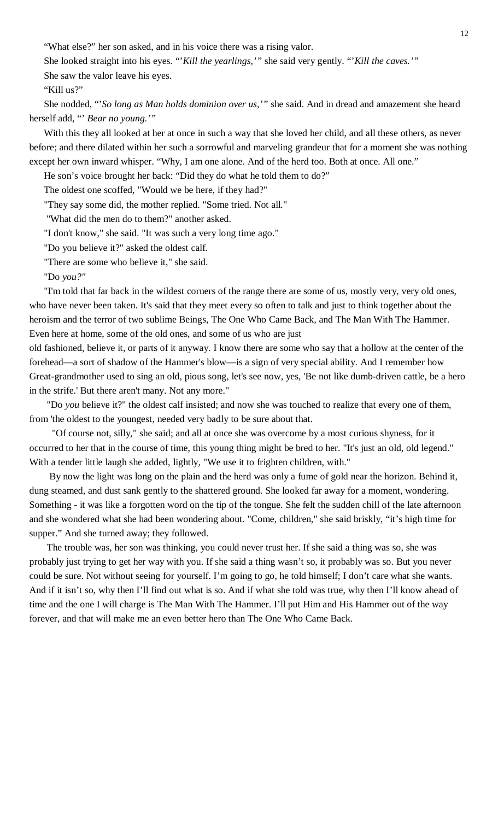"What else?" her son asked, and in his voice there was a rising valor.

She looked straight into his eyes. "'*Kill the yearlings,'"* she said very gently. "'*Kill the caves.'"*

She saw the valor leave his eyes.

"Kill us?"

She nodded, "'*So long as Man holds dominion over us,'"* she said. And in dread and amazement she heard herself add, "' *Bear no young.'"* 

With this they all looked at her at once in such a way that she loved her child, and all these others, as never before; and there dilated within her such a sorrowful and marveling grandeur that for a moment she was nothing except her own inward whisper. "Why, I am one alone. And of the herd too. Both at once. All one."

He son's voice brought her back: "Did they do what he told them to do?"

The oldest one scoffed, "Would we be here, if they had?"

"They say some did, the mother replied. "Some tried. Not all."

"What did the men do to them?" another asked.

"I don't know," she said. "It was such a very long time ago."

"Do you believe it?" asked the oldest calf.

"There are some who believe it," she said.

"Do *you?"* 

"I'm told that far back in the wildest corners of the range there are some of us, mostly very, very old ones, who have never been taken. It's said that they meet every so often to talk and just to think together about the heroism and the terror of two sublime Beings, The One Who Came Back, and The Man With The Hammer. Even here at home, some of the old ones, and some of us who are just

old fashioned, believe it, or parts of it anyway. I know there are some who say that a hollow at the center of the forehead—a sort of shadow of the Hammer's blow—is a sign of very special ability. And I remember how Great-grandmother used to sing an old, pious song, let's see now, yes, 'Be not like dumb-driven cattle, be a hero in the strife.' But there aren't many. Not any more."

"Do *you* believe it?" the oldest calf insisted; and now she was touched to realize that every one of them, from 'the oldest to the youngest, needed very badly to be sure about that.

 "Of course not, silly," she said; and all at once she was overcome by a most curious shyness, for it occurred to her that in the course of time, this young thing might be bred to her. "It's just an old, old legend." With a tender little laugh she added, lightly, "We use it to frighten children, with."

 By now the light was long on the plain and the herd was only a fume of gold near the horizon. Behind it, dung steamed, and dust sank gently to the shattered ground. She looked far away for a moment, wondering. Something - it was like a forgotten word on the tip of the tongue. She felt the sudden chill of the late afternoon and she wondered what she had been wondering about. "Come, children," she said briskly, "it's high time for supper." And she turned away; they followed.

The trouble was, her son was thinking, you could never trust her. If she said a thing was so, she was probably just trying to get her way with you. If she said a thing wasn't so, it probably was so. But you never could be sure. Not without seeing for yourself. I'm going to go, he told himself; I don't care what she wants. And if it isn't so, why then I'll find out what is so. And if what she told was true, why then I'll know ahead of time and the one I will charge is The Man With The Hammer. I'll put Him and His Hammer out of the way forever, and that will make me an even better hero than The One Who Came Back.